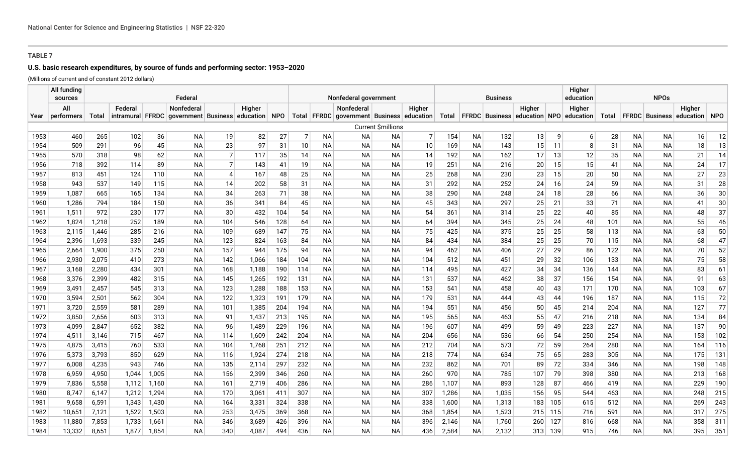# **U.S. basic research expenditures, by source of funds and performing sector: 1953–2020**

(Millions of current and of constant 2012 dollars)

|              | All funding<br>sources |                |            |            | Federal                                            |                |                |            | Nonfederal government |                        |                                           |                        |            |            | Higher<br>education<br><b>Business</b> |            |                                                |          |            |            |                        | <b>NPOs</b>            |                                     |          |  |  |  |  |
|--------------|------------------------|----------------|------------|------------|----------------------------------------------------|----------------|----------------|------------|-----------------------|------------------------|-------------------------------------------|------------------------|------------|------------|----------------------------------------|------------|------------------------------------------------|----------|------------|------------|------------------------|------------------------|-------------------------------------|----------|--|--|--|--|
|              | All                    |                | Federal    |            | Nonfederal                                         |                | Higher         |            |                       |                        | Nonfederal                                |                        | Higher     |            |                                        |            | Higher                                         |          | Higher     |            |                        |                        | Higher                              |          |  |  |  |  |
| Year         | performers             | Total          |            |            | intramural FFRDC government Business education NPO |                |                |            |                       |                        | Total FFRDC government Business education |                        |            | Total      |                                        |            | FFRDC   Business   education   NPO   education |          |            | Total      |                        |                        | <b>FFRDC</b> Business education NPO |          |  |  |  |  |
|              |                        |                |            |            |                                                    |                |                |            |                       |                        |                                           | Current \$millions     |            |            |                                        |            |                                                |          |            |            |                        |                        |                                     |          |  |  |  |  |
| 1953         | 460                    | 265            | 102        | 36         | <b>NA</b>                                          | 19             | 82             | 27         | 7                     | N <sub>A</sub>         | <b>NA</b>                                 | <b>NA</b>              | 7          | 154        | <b>NA</b>                              | 132        | 13                                             | 9        | $6 \mid$   | 28         | <b>NA</b>              | <b>NA</b>              | 16                                  | 12       |  |  |  |  |
| 1954         | 509                    | 291            | 96         | 45         | <b>NA</b>                                          | 23             | 97             | 31         | 10                    | <b>NA</b>              | <b>NA</b>                                 | <b>NA</b>              | 10         | 169        | <b>NA</b>                              | 143        | 15                                             | 11       | 8          | 31         | <b>NA</b>              | <b>NA</b>              | 18                                  | 13       |  |  |  |  |
| 1955         | 570                    | 318            | 98         | 62         | <b>NA</b>                                          | $\overline{7}$ | 117            | 35         | 14                    | <b>NA</b>              | <b>NA</b>                                 | <b>NA</b>              | 14         | 192        | <b>NA</b>                              | 162        | 17                                             | 13       | 12         | 35         | <b>NA</b>              | <b>NA</b>              | 21                                  | 14       |  |  |  |  |
| 1956         | 718                    | 392            | 114        | 89         | <b>NA</b>                                          | 7 <sup>1</sup> | 143            | 41         | 19                    | <b>NA</b>              | <b>NA</b>                                 | <b>NA</b>              | 19         | 251        | <b>NA</b>                              | 216        | 20                                             | 15       | 15         | 41         | <b>NA</b>              | <b>NA</b>              | 24                                  | 17       |  |  |  |  |
| 1957         | 813                    | 451            | 124        | 110        | <b>NA</b>                                          | $\overline{4}$ | 167            | 48         | 25                    | <b>NA</b>              | <b>NA</b>                                 | <b>NA</b>              | 25         | 268        | <b>NA</b>                              | 230        | 23                                             | 15       | 20         | 50         | <b>NA</b>              | <b>NA</b>              | 27                                  | 23       |  |  |  |  |
| 1958         | 943                    | 537            | 149        | 115        | <b>NA</b>                                          | 14             | 202            | 58         | 31                    | <b>NA</b>              | <b>NA</b>                                 | <b>NA</b>              | 31         | 292        | <b>NA</b>                              | 252        | 24                                             | 16       | 24         | 59         | <b>NA</b>              | <b>NA</b>              | 31                                  | 28       |  |  |  |  |
| 1959         | 1,087                  | 665            | 165        | 134        | <b>NA</b>                                          | 34             | 263            | 71         | 38                    | <b>NA</b>              | <b>NA</b>                                 | <b>NA</b>              | 38         | 290        | <b>NA</b>                              | 248        | 24                                             | 18       | 28         | 66         | <b>NA</b>              | <b>NA</b>              | 36                                  | 30       |  |  |  |  |
| 1960         | 1,286                  | 794            | 184        | 150        | <b>NA</b>                                          | 36             | 341            | 84         | 45                    | <b>NA</b>              | <b>NA</b>                                 | <b>NA</b>              | 45         | 343        | <b>NA</b>                              | 297        | 25                                             | 21       | 33         | 71         | <b>NA</b>              | <b>NA</b>              | 41                                  | 30       |  |  |  |  |
| 1961         | 1,511                  | 972            | 230        | 177        | <b>NA</b>                                          | 30             | 432            | 104        | 54                    | <b>NA</b>              | <b>NA</b>                                 | <b>NA</b>              | 54         | 361        | <b>NA</b>                              | 314        | 25                                             | 22       | 40         | 85         | <b>NA</b>              | <b>NA</b>              | 48                                  | 37       |  |  |  |  |
| 1962         | 1,824                  | 1,218          | 252        | 189        | <b>NA</b>                                          | 104            | 546            | 128        | 64                    | <b>NA</b>              | <b>NA</b>                                 | <b>NA</b>              | 64         | 394        | <b>NA</b>                              | 345        | 25                                             | 24       | 48         | 101        | <b>NA</b>              | <b>NA</b>              | 55                                  | 46       |  |  |  |  |
| 1963         | 2,115                  | 1,446          | 285        | 216        | <b>NA</b>                                          | 109            | 689            | 147        | 75                    | <b>NA</b>              | <b>NA</b>                                 | <b>NA</b>              | 75         | 425        | <b>NA</b>                              | 375        | 25                                             | 25       | 58         | 113        | <b>NA</b>              | <b>NA</b>              | 63                                  | 50       |  |  |  |  |
| 1964         | 2.396                  | 1,693          | 339        | 245        | <b>NA</b>                                          | 123            | 824            | 163        | 84                    | <b>NA</b>              | <b>NA</b>                                 | <b>NA</b>              | 84         | 434        | <b>NA</b>                              | 384        | 25                                             | 25       | 70         | 115        | <b>NA</b>              | <b>NA</b>              | 68                                  | 47       |  |  |  |  |
| 1965         | 2,664                  | 1,900          | 375        | 250        | <b>NA</b>                                          | 157            | 944            | 175        | 94                    | <b>NA</b>              | <b>NA</b>                                 | <b>NA</b>              | 94         | 462        | <b>NA</b>                              | 406        | 27                                             | 29       | 86         | 122        | <b>NA</b>              | <b>NA</b>              | 70                                  | 52       |  |  |  |  |
| 1966<br>1967 | 2,930<br>3,168         | 2,075<br>2,280 | 410<br>434 | 273<br>301 | <b>NA</b><br><b>NA</b>                             | 142<br>168     | 1,066<br>1,188 | 184<br>190 | 104<br>114            | <b>NA</b><br><b>NA</b> | <b>NA</b><br><b>NA</b>                    | <b>NA</b><br><b>NA</b> | 104<br>114 | 512<br>495 | <b>NA</b><br><b>NA</b>                 | 451<br>427 | 29<br>34                                       | 32<br>34 | 106<br>136 | 133<br>144 | <b>NA</b><br><b>NA</b> | <b>NA</b><br><b>NA</b> | 75<br>83                            | 58<br>61 |  |  |  |  |
| 1968         | 3,376                  | 2,399          | 482        | 315        | <b>NA</b>                                          | 145            | 1,265          | 192        | 131                   | ΝA                     | <b>NA</b>                                 | <b>NA</b>              | 131        | 537        | <b>NA</b>                              | 462        | 38                                             | 37       | 156        | 154        | <b>NA</b>              | <b>NA</b>              | 91                                  | 63       |  |  |  |  |
| 1969         | 3,491                  | 2,457          | 545        | 313        | <b>NA</b>                                          | 123            | 1,288          | 188        | 153                   | <b>NA</b>              | <b>NA</b>                                 | <b>NA</b>              | 153        | 541        | <b>NA</b>                              | 458        | 40                                             | 43       | 171        | 170        | <b>NA</b>              | <b>NA</b>              | 103                                 | 67       |  |  |  |  |
| 1970         | 3,594                  | 2,501          | 562        | 304        | <b>NA</b>                                          | 122            | 1,323          | 191        | 179                   | ΝA                     | <b>NA</b>                                 | <b>NA</b>              | 179        | 531        | <b>NA</b>                              | 444        | 43                                             | 44       | 196        | 187        | <b>NA</b>              | <b>NA</b>              | 115                                 | 72       |  |  |  |  |
| 1971         | 3,720                  | 2,559          | 581        | 289        | <b>NA</b>                                          | 101            | 1,385          | 204        | 194                   | <b>NA</b>              | <b>NA</b>                                 | <b>NA</b>              | 194        | 551        | <b>NA</b>                              | 456        | 50                                             | 45       | 214        | 204        | <b>NA</b>              | <b>NA</b>              | 127                                 | 77       |  |  |  |  |
| 1972         | 3,850                  | 2,656          | 603        | 313        | <b>NA</b>                                          | 91             | 1,437          | 213        | 195                   | <b>NA</b>              | <b>NA</b>                                 | <b>NA</b>              | 195        | 565        | <b>NA</b>                              | 463        | 55                                             | 47       | 216        | 218        | <b>NA</b>              | <b>NA</b>              | 134                                 | 84       |  |  |  |  |
| 1973         | 4,099                  | 2,847          | 652        | 382        | <b>NA</b>                                          | 96             | 1,489          | 229        | 196                   | <b>NA</b>              | <b>NA</b>                                 | <b>NA</b>              | 196        | 607        | <b>NA</b>                              | 499        | 59                                             | 49       | 223        | 227        | <b>NA</b>              | <b>NA</b>              | 137                                 | $90\,$   |  |  |  |  |
| 1974         | 4,511                  | 3,146          | 715        | 467        | <b>NA</b>                                          | 114            | 1,609          | 242        | 204                   | <b>NA</b>              | <b>NA</b>                                 | <b>NA</b>              | 204        | 656        | <b>NA</b>                              | 536        | 66                                             | 54       | 250        | 254        | <b>NA</b>              | <b>NA</b>              | 153                                 | 102      |  |  |  |  |
| 1975         | 4,875                  | 3,415          | 760        | 533        | <b>NA</b>                                          | 104            | 1,768          | 251        | 212                   | <b>NA</b>              | <b>NA</b>                                 | <b>NA</b>              | 212        | 704        | <b>NA</b>                              | 573        | 72                                             | 59       | 264        | 280        | <b>NA</b>              | <b>NA</b>              | 164                                 | 116      |  |  |  |  |
| 1976         | 5,373                  | 3,793          | 850        | 629        | <b>NA</b>                                          | 116            | 1,924          | 274        | 218                   | <b>NA</b>              | <b>NA</b>                                 | <b>NA</b>              | 218        | 774        | <b>NA</b>                              | 634        | 75                                             | 65       | 283        | 305        | <b>NA</b>              | <b>NA</b>              | 175                                 | 131      |  |  |  |  |
| 1977         | 6,008                  | 4,235          | 943        | 746        | <b>NA</b>                                          | 135            | 2,114          | 297        | 232                   | <b>NA</b>              | <b>NA</b>                                 | <b>NA</b>              | 232        | 862        | <b>NA</b>                              | 701        | 89                                             | 72       | 334        | 346        | <b>NA</b>              | <b>NA</b>              | 198                                 | 148      |  |  |  |  |
| 1978         | 6,959                  | 4,950          | 1,044      | 1,005      | <b>NA</b>                                          | 156            | 2,399          | 346        | 260                   | <b>NA</b>              | <b>NA</b>                                 | <b>NA</b>              | 260        | 970        | <b>NA</b>                              | 785        | 107                                            | 79       | 398        | 380        | <b>NA</b>              | <b>NA</b>              | 213                                 | 168      |  |  |  |  |
| 1979         | 7,836                  | 5,558          | 1,112      | 1,160      | <b>NA</b>                                          | 161            | 2,719          | 406        | 286                   | <b>NA</b>              | <b>NA</b>                                 | <b>NA</b>              | 286        | 1,107      | <b>NA</b>                              | 893        | 128                                            | 87       | 466        | 419        | <b>NA</b>              | <b>NA</b>              | 229                                 | 190      |  |  |  |  |
| 1980         | 8.747                  | 6,147          | 1,212      | 1,294      | <b>NA</b>                                          | 170            | 3,061          | 411        | 307                   | <b>NA</b>              | <b>NA</b>                                 | <b>NA</b>              | 307        | 1,286      | <b>NA</b>                              | 1,035      | 156                                            | 95       | 544        | 463        | <b>NA</b>              | <b>NA</b>              | 248                                 | 215      |  |  |  |  |
| 1981         | 9.658                  | 6,591          | 1,343      | 1,430      | <b>NA</b>                                          | 164            | 3,331          | 324        | 338                   | <b>NA</b>              | <b>NA</b>                                 | <b>NA</b>              | 338        | 1,600      | <b>NA</b>                              | 1,313      | 183                                            | 105      | 615        | 512        | <b>NA</b>              | <b>NA</b>              | 269                                 | 243      |  |  |  |  |
| 1982         | 10,651                 | 7,121          | 1,522      | 1,503      | <b>NA</b>                                          | 253            | 3,475          | 369        | 368                   | <b>NA</b>              | <b>NA</b>                                 | <b>NA</b>              | 368        | 1,854      | <b>NA</b>                              | 1,523      | 215                                            | 115      | 716        | 591        | <b>NA</b>              | <b>NA</b>              | 317                                 | 275      |  |  |  |  |
| 1983         | 11,880                 | 7,853          | 1,733      | 1,661      | <b>NA</b>                                          | 346            | 3,689          | 426        | 396                   | <b>NA</b>              | <b>NA</b>                                 | <b>NA</b>              | 396        | 2,146      | <b>NA</b>                              | 1,760      | 260                                            | 127      | 816        | 668        | <b>NA</b>              | <b>NA</b>              | 358                                 | 311      |  |  |  |  |
| 1984         | 13,332                 | 8,651          | 1,877      | 1,854      | <b>NA</b>                                          | 340            | 4,087          | 494        | 436                   | <b>NA</b>              | <b>NA</b>                                 | <b>NA</b>              | 436        | 2,584      | <b>NA</b>                              | 2,132      | 313                                            | 139      | 915        | 746        | <b>NA</b>              | <b>NA</b>              | 395                                 | 351      |  |  |  |  |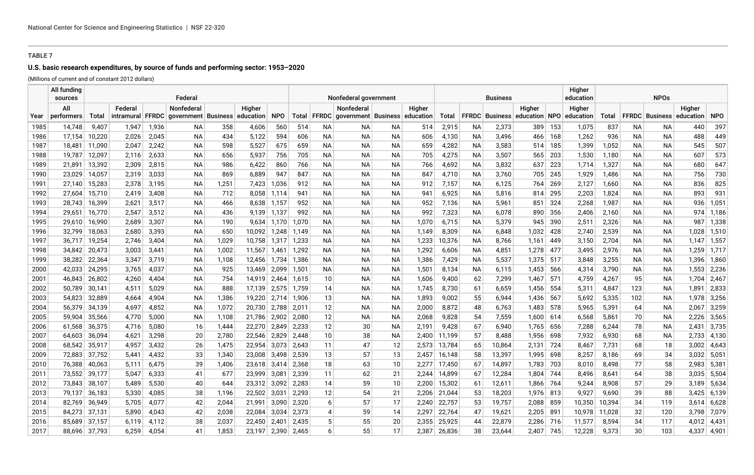# **U.S. basic research expenditures, by source of funds and performing sector: 1953–2020**

(Millions of current and of constant 2012 dollars)

|      | All fundina<br>sources |        |            |       | Federal                   |       |              |             |       |                 | Nonfederal government                     |           |        |        |           | <b>Business</b> |                              |      | Higher<br>education |        |     |                                 |        |               |
|------|------------------------|--------|------------|-------|---------------------------|-------|--------------|-------------|-------|-----------------|-------------------------------------------|-----------|--------|--------|-----------|-----------------|------------------------------|------|---------------------|--------|-----|---------------------------------|--------|---------------|
|      | All                    |        | Federal    |       | Nonfederal                |       | Higher       |             |       |                 | <b>Nonfederal</b>                         |           | Higher |        |           |                 | Higher                       |      | Higher              |        |     |                                 | Higher |               |
| Year | performers             | Total  | intramural |       | FFRDC government Business |       | education    | <b>NPO</b>  |       |                 | Total FFRDC government Business education |           |        | Total  |           |                 | FFRDC Business education NPO |      | education           | Total  |     | <b>FFRDC</b> Business education |        | <b>NPO</b>    |
| 1985 | 14,748                 | 9,407  | 1,947      | 1,936 | NA.                       | 358   | 4,606        | 560         | 514   | NA.             | NA.                                       | NA.       | 514    | 2,915  | <b>NA</b> | 2,373           | 389                          | 153  | 1,075               | 837    | NA. | <b>NA</b>                       | 440    | 397           |
| 1986 | 17,154                 | 10,220 | 2,026      | 2,045 | NA.                       | 434   | 5,122        | 594         | 606   | NA.             | NA.                                       | <b>NA</b> | 606    | 4,130  | NA.       | 3,496           | 466                          | 168  | 1,262               | 936    | NA. | ΝA                              | 488    | 449           |
| 1987 | 18,481                 | 11,090 | 2,047      | 2,242 | NА                        | 598   | 5,527        | 675         | 659   | NА              | ΝA                                        | NА        | 659    | 4,282  | NА        | 3,583           | 514                          | 185  | 1,399               | 1,052  | NA. | NА                              | 545    | 507           |
| 1988 | 19,787                 | 12,097 | 2,116      | 2,633 | NA.                       | 656   | 5,937        | 756         | 705   | NA.             | NA.                                       | ΝA        | 705    | 4,275  | NA.       | 3,507           | 565                          | 203  | 1,530               | 1,180  | NA. | NA.                             | 607    | 573           |
| 1989 | 21,891                 | 13,392 | 2,309      | 2,815 | NA.                       | 986   | 6,422        | 860         | 766   | NA.             | NA.                                       | NА        | 766    | 4,692  | NА        | 3,832           | 637                          | 223  | 1,714               | 1,327  | NA. | NA.                             | 680    | 647           |
| 1990 | 23,029                 | 14,057 | 2,319      | 3,033 | NA.                       | 869   | 6,889        | 947         | 847   | NA.             | NA.                                       | ΝA        | 847    | 4,710  | NA.       | 3,760           | 705                          | 245  | 1,929               | 1,486  | NA. | ΝA                              | 756    | 730           |
| 1991 | 27,140                 | 15,283 | 2,378      | 3,195 | NA.                       | 1,251 | 7,423        | 1,036       | 912   | NA.             | NA.                                       | ΝA        | 912    | 7,157  | NА        | 6,125           | 764                          | 269  | 2,127               | 1,660  | NA. | NA.                             | 836    | 825           |
| 1992 | 27,604                 | 15,710 | 2,419      | 3,408 | NА                        | 712   |              | 8,058 1,114 | 941   | NА              | ΝA                                        | NА        | 941    | 6,925  | NА        | 5,816           | 814                          | 295  | 2,203               | 1,824  | NA. | NА                              | 893    | 931           |
| 1993 | 28,743                 | 16,399 | 2,621      | 3,517 | NA.                       | 466   |              | 8,638 1,157 | 952   | NA.             | NA.                                       | ΝA        | 952    | 7,136  | NA.       | 5,961           | 851                          | 324  | 2,268               | 1,987  | NA. | ΝA                              | 936    | 1,051         |
| 1994 | 29,651                 | 16,770 | 2,547      | 3,512 | NА                        | 436   | 9,139 1,137  |             | 992   | NА              | ΝA                                        | NА        | 992    | 7,323  | ΝA        | 6,078           | 890                          | 356  | 2,406               | 2,160  | NA. | NА                              | 974    | 1,186         |
| 1995 | 29,610                 | 16,990 | 2.689      | 3,307 | NA.                       | 190   |              | 9,634 1,170 | 1,070 | NA.             | NA.                                       | ΝA        | 1,070  | 6,715  | NA.       | 5,379           | 945                          | 390  | 2,511               | 2,326  | NA. | ΝA                              | 987    | 1,338         |
| 1996 | 32,799                 | 18,063 | 2,680      | 3,393 | NA.                       | 650   | 10,092 1,248 |             | 1,149 | NA.             | NA.                                       | NА        | 1,149  | 8,309  | NА        | 6,848           | 1,032                        | 428  | 2,740               | 2,539  | NA. | NA                              | 1,028  | 1,510         |
| 1997 | 36,717                 | 19,254 | 2.746      | 3,404 | <b>NA</b>                 | 1.029 | 10,758 1,317 |             | 1,233 | NA.             | NA.                                       | NA        | 1,233  | 10,376 | ΝA        | 8,766           | 1,161                        | 449  | 3,150               | 2,704  | NA. | <b>NA</b>                       |        | $1,147$ 1,557 |
| 1998 | 34,842                 | 20,473 | 3,003      | 3,441 | NА                        | 1,002 | 11,567 1,461 |             | 1,292 | NA.             | NA.                                       | NА        | 1,292  | 6,606  | NA.       | 4,851           | 1,278                        | 477  | 3,495               | 2,976  | NA. | NA                              | 1,259  | 1,717         |
| 1999 | 38,282                 | 22,364 | 3,347      | 3,719 | NА                        | 1,108 | 12,456 1,734 |             | 1,386 | NА              | ΝA                                        | NА        | 1,386  | 7,429  | ΝA        | 5,537           | 1,375                        | 517  | 3,848               | 3,255  | NA. | ΝA                              | 1,396  | 1,860         |
| 2000 | 42,033                 | 24,295 | 3.765      | 4,037 | NA.                       | 925   | 13,469 2,099 |             | 1,501 | NA.             | ΝA                                        | ΝA        | 1,501  | 8,134  | NA.       | 6,115           | 1,453                        | -566 | 4,314               | 3,790  | NA. | NA.                             | 1,553  | 2,236         |
| 2001 | 46,843                 | 26,802 | 4,260      | 4,404 | NA.                       | 754   | 14,919 2,464 |             | 1,615 | 10              | NA.                                       | NА        | 1,606  | 9,400  | 62        | 7,299           | 1,467                        | 571  | 4,759               | 4,267  | 95  | NA                              | 1,704  | 2,467         |
| 2002 | 50,789                 | 30,141 | 4,511      | 5,029 | NA.                       | 888   | 17,139 2,575 |             | 1,759 | 14              | NA.                                       | ΝA        | 1,745  | 8,730  | 61        | 6,659           | 1,456                        | 554  | 5,311               | 4,847  | 123 | NA.                             | 1,891  | 2,833         |
| 2003 | 54,823                 | 32,889 | 4,664      | 4,904 | NА                        | 1,386 | 19,220 2,714 |             | 1,906 | 13              | NA.                                       | NА        | 1,893  | 9,002  | 55        | 6,944           | 1,436                        | 567  | 5,692               | 5,335  | 102 | NA                              | 1,978  | 3,256         |
| 2004 | 56,379                 | 34,139 | 4,697      | 4,852 | NА                        | 1,072 | 20,730 2,788 |             | 2,011 | 12              | ΝA                                        | NА        | 2,000  | 8,872  | 48        | 6,763           | 1,483                        | 578  | 5,965               | 5,391  | 64  | NА                              | 2,067  | 3,259         |
| 2005 | 59,904                 | 35,566 | 4,770      | 5,000 | NА                        | 1,108 | 21,786 2,902 |             | 2,080 | 12              | ΝA                                        | ΝA        | 2,068  | 9,828  | 54        | 7,559           | 1,600                        | 614  | 6,568               | 5,861  | 70  | NA                              | 2,226  | 3,565         |
| 2006 | 61,568                 | 36,375 | 4,716      | 5,080 | 16                        | 1,444 | 22,270       | 2,849       | 2,233 | 12              | 30                                        | NА        | 2,191  | 9,428  | 67        | 6,940           | 1,765                        | 656  | 7,288               | 6,244  | 78  | ΝA                              | 2,431  | 3,735         |
| 2007 | 64,603                 | 36,094 | 4,621      | 3,298 | 20                        | 2,780 | 22,546       | 2,829       | 2,448 | 10 <sup>1</sup> | 38                                        | ΝA        | 2,400  | 11,199 | 57        | 8,488           | 1,956                        | 698  | 7,932               | 6,930  | 68  | ΝA                              | 2,733  | 4,130         |
| 2008 | 68,542                 | 35,917 | 4,957      | 3,432 | 26                        | 1,475 | 22,954       | 3,073       | 2,643 | 11              | 47                                        | 12        | 2,573  | 13,784 | 65        | 10,864          | 2,131                        | 724  | 8,467               | 7,731  | 68  | 18                              | 3,002  | 4,643         |
| 2009 | 72,883                 | 37,752 | 5,441      | 4,432 | 33                        | 1,340 | 23,008 3,498 |             | 2,539 | 13              | 57                                        | 13        | 2,457  | 16,148 | 58        | 13,397          | 1,995                        | 698  | 8,257               | 8,186  | 69  | 34                              | 3,032  | 5,051         |
| 2010 | 76,388                 | 40,063 | 5,111      | 6,475 | 39                        | 1,406 | 23,618       | 3,414       | 2,368 | 18              | 63                                        | 10        | 2,277  | 17,450 | 67        | 14,897          | 1,783                        | 703  | 8,010               | 8,498  | 77  | 58                              | 2,983  | 5,381         |
| 2011 | 73,552                 | 39,177 | 5,047      | 6,333 | 41                        | 677   | 23,999       | 3,081       | 2,339 | 11              | 62                                        | 21        | 2,244  | 14,899 | 67        | 12,284          | 1,804                        | 744  | 8,496               | 8,641  | 64  | 38                              | 3,035  | 5,504         |
| 2012 | 73,843                 | 38,107 | 5,489      | 5,530 | 40                        | 644   | 23,312 3,092 |             | 2,283 | 14              | 59                                        | 10        | 2,200  | 15,302 | 61        | 12,611          | 1,866                        | 764  | 9,244               | 8,908  | 57  | 29                              | 3,189  | 5,634         |
| 2013 | 79,137                 | 36,183 | 5,330      | 4,085 | 38                        | 1,196 | 22,502       | 3,031       | 2,293 | 12              | 54                                        | 21        | 2,206  | 21,044 | 53        | 18,203          | 1,976                        | -813 | 9,927               | 9,690  | 39  | 88                              | 3,425  | 6,139         |
| 2014 | 82,769                 | 36,949 | 5,705      | 4,077 | 42                        | 2,044 | 21,991       | 3,090       | 2,320 | 6               | 57                                        | 17        | 2,240  | 22,757 | 53        | 19,757          | 2,088                        | 859  | 10,350              | 10,394 | 34  | 119                             | 3,614  | 6,628         |
| 2015 | 84,273                 | 37,131 | 5,890      | 4,043 | 42                        | 2,038 | 22,084       | 3,034       | 2,373 | $\overline{4}$  | 59                                        | 14        | 2,297  | 22,764 | 47        | 19,621          | 2,205                        | 891  | 10,978              | 11,028 | 32  | 120                             | 3,798  | 7,079         |
| 2016 | 85,689                 | 37,157 | 6,119      | 4,112 | 38                        | 2,037 | 22,450       | 2,401       | 2,435 | 5               | 55                                        | 20        | 2,355  | 25,925 | 44        | 22,879          | 2,286                        | 716  | 11,577              | 8,594  | 34  | 117                             | 4,012  | 4,431         |
| 2017 | 88,696                 | 37,793 | 6,259      | 4,054 | 41                        | 1,853 | 23,197       | 2,390       | 2,465 |                 | 55                                        | 17        | 2,387  | 26,836 | 38        | 23,644          | 2,407                        | 745  | 12,228              | 9,373  | 30  | 103                             | 4,337  | 4,901         |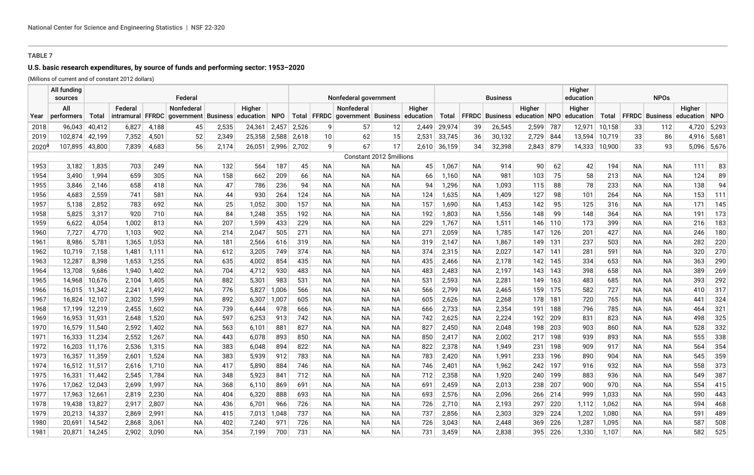# **U.S. basic research expenditures, by source of funds and performing sector: 1953–2020**

(Millions of current and of constant 2012 dollars)

|          | All funding<br>sources |        |            |       | Federal                          |       |           |            |       |           | Nonfederal government                             |                          |        |        |           | <b>Business</b>       |               |     | Higher<br>education |        | <b>NPOs</b> |                       |           |             |
|----------|------------------------|--------|------------|-------|----------------------------------|-------|-----------|------------|-------|-----------|---------------------------------------------------|--------------------------|--------|--------|-----------|-----------------------|---------------|-----|---------------------|--------|-------------|-----------------------|-----------|-------------|
|          | All                    |        | Federal    |       | <b>Nonfederal</b>                |       | Higher    |            |       |           | <b>Nonfederal</b>                                 |                          | Higher |        |           |                       | Higher        |     | Higher              |        |             |                       | Higher    |             |
| Year     | performers             | Total  | intramural |       | <b>FFRDC</b> government Business |       | education | <b>NPO</b> |       |           | Total   FFRDC   government   Business   education |                          |        | Total  |           | <b>FFRDC Business</b> | education NPO |     | education           | Total  |             | <b>FFRDC</b> Business | education | NPO         |
| 2018     | 96,043                 | 40,412 | 6,827      | 4,188 | 45                               | 2,535 | 24,361    | 2,457      | 2,526 | 9         | 57                                                | 12                       | 2,449  | 29,974 | 39        | 26,545                | 2,599         | 787 | 12,971              | 10,158 | 33          | 112                   |           | 4,720 5,293 |
| 2019     | 102,874                | 42,199 | 7,352      | 4,501 | 52                               | 2,349 | 25,358    | 2,588      | 2,618 | 10        | 62                                                | 15                       | 2,531  | 33,745 | 36        | 30,132                | 2,729         | 844 | 13,594              | 10,719 | 33          | 86                    |           | 4,916 5,681 |
| $2020^6$ | 107,895                | 43,800 | 7,839      | 4,683 | 56                               | 2,174 | 26,051    | 2,996      | 2,702 | 9         | 67                                                | 17                       | 2,610  | 36,159 | 34        | 32,398                | 2,843         | 879 | 14,333              | 10,900 | 33          | 93                    | 5,096     | 5,676       |
|          |                        |        |            |       |                                  |       |           |            |       |           |                                                   | Constant 2012 \$millions |        |        |           |                       |               |     |                     |        |             |                       |           |             |
| 1953     | 3,182                  | 1,835  | 703        | 249   | NA                               | 132   | 564       | 187        | 45    | NА        | NА                                                | ΝA                       | 45     | 1,067  | <b>NA</b> | 914                   | 90            | 62  | 42                  | 194    | <b>NA</b>   | ΝA                    | 111       | 83          |
| 1954     | 3,490                  | 1,994  | 659        | 305   | <b>NA</b>                        | 158   | 662       | 209        | 66    | <b>NA</b> | <b>NA</b>                                         | <b>NA</b>                | 66     | 1,160  | <b>NA</b> | 981                   | 103           | 75  | 58                  | 213    | <b>NA</b>   | <b>NA</b>             | 124       | 89          |
| 1955     | 3.846                  | 2,146  | 658        | 418   | <b>NA</b>                        | 47    | 786       | 236        | 94    | <b>NA</b> | <b>NA</b>                                         | <b>NA</b>                | 94     | 1,296  | <b>NA</b> | 1,093                 | 115           | 88  | 78                  | 233    | <b>NA</b>   | <b>NA</b>             | 138       | 94          |
| 1956     | 4,683                  | 2,559  | 741        | 581   | ΝA                               | 44    | 930       | 264        | 124   | <b>NA</b> | <b>NA</b>                                         | <b>NA</b>                | 124    | 1,635  | NА        | 1,409                 | 127           | 98  | 101                 | 264    | <b>NA</b>   | ΝA                    | 153       | 111         |
| 1957     | 5,138                  | 2,852  | 783        | 692   | <b>NA</b>                        | 25    | 1,052     | 300        | 157   | <b>NA</b> | NА                                                | <b>NA</b>                | 157    | 1,690  | <b>NA</b> | 1,453                 | 142           | 95  | 125                 | 316    | <b>NA</b>   | <b>NA</b>             | 171       | 145         |
| 1958     | 5,825                  | 3,317  | 920        | 710   | NA                               | 84    | 1,248     | 355        | 192   | <b>NA</b> | <b>NA</b>                                         | ΝA                       | 192    | 1,803  | <b>NA</b> | 1,556                 | 148           | 99  | 148                 | 364    | <b>NA</b>   | ΝA                    | 191       | 173         |
| 1959     | 6,622                  | 4,054  | 1,002      | 813   | <b>NA</b>                        | 207   | 1,599     | 433        | 229   | <b>NA</b> | NА                                                | <b>NA</b>                | 229    | 1,767  | <b>NA</b> | 1,511                 | 146           | 110 | 173                 | 399    | <b>NA</b>   | NA                    | 216       | 183         |
| 1960     | 7,727                  | 4,770  | 1,103      | 902   | ΝA                               | 214   | 2,047     | 505        | 271   | <b>NA</b> | <b>NA</b>                                         | <b>NA</b>                | 271    | 2,059  | <b>NA</b> | 1,785                 | 147           | 126 | 201                 | 427    | <b>NA</b>   | <b>NA</b>             | 246       | 180         |
| 1961     | 8,986                  | 5,781  | 1,365      | 1,053 | ΝA                               | 181   | 2,566     | 616        | 319   | <b>NA</b> | NА                                                | <b>NA</b>                | 319    | 2,147  | NА        | 1,867                 | 149           | 131 | 237                 | 503    | <b>NA</b>   | ΝA                    | 282       | 220         |
| 1962     | 10,719                 | 7,158  | 1,481      | 1,111 | <b>NA</b>                        | 612   | 3,205     | 749        | 374   | <b>NA</b> | NА                                                | <b>NA</b>                | 374    | 2,315  | <b>NA</b> | 2,027                 | 147           | 141 | 281                 | 591    | <b>NA</b>   | <b>NA</b>             | 320       | 270         |
| 1963     | 12,287                 | 8,398  | 1,653      | 1,255 | ΝA                               | 635   | 4,002     | 854        | 435   | <b>NA</b> | <b>NA</b>                                         | <b>NA</b>                | 435    | 2,466  | <b>NA</b> | 2,178                 | 142           | 145 | 334                 | 653    | <b>NA</b>   | <b>NA</b>             | 363       | 290         |
| 1964     | 13,708                 | 9,686  | 1,940      | 1,402 | ΝA                               | 704   | 4,712     | 930        | 483   | NА        | NА                                                | NA                       | 483    | 2,483  | NА        | 2,197                 | 143           | 143 | 398                 | 658    | ΝA          | ΝA                    | 389       | 269         |
| 1965     | 14.968                 | 10,676 | 2,104      | 1.405 | <b>NA</b>                        | 882   | 5,301     | 983        | 531   | <b>NA</b> | <b>NA</b>                                         | <b>NA</b>                | 531    | 2,593  | <b>NA</b> | 2,281                 | 149           | 163 | 483                 | 685    | <b>NA</b>   | <b>NA</b>             | 393       | 292         |
| 1966     | 16,015                 | 11,342 | 2,241      | 1,492 | ΝA                               | 776   | 5,827     | 1,006      | 566   | <b>NA</b> | NА                                                | NA                       | 566    | 2,799  | NА        | 2,465                 | 159           | 175 | 582                 | 727    | NА          | ΝA                    | 410       | 317         |
| 1967     | 16,824                 | 12,107 | 2,302      | 1,599 | <b>NA</b>                        | 892   | 6,307     | 1,007      | 605   | <b>NA</b> | NА                                                | <b>NA</b>                | 605    | 2,626  | <b>NA</b> | 2,268                 | 178           | 181 | 720                 | 765    | <b>NA</b>   | <b>NA</b>             | 441       | 324         |
| 1968     | 17,199                 | 12,219 | 2,455      | 1,602 | <b>NA</b>                        | 739   | 6,444     | 978        | 666   | <b>NA</b> | <b>NA</b>                                         | <b>NA</b>                | 666    | 2,733  | <b>NA</b> | 2,354                 | 191           | 188 | 796                 | 785    | <b>NA</b>   | <b>NA</b>             | 464       | 321         |
| 1969     | 16,953                 | 11,931 | 2,648      | 1,520 | ΝA                               | 597   | 6,253     | 913        | 742   | NА        | NА                                                | NA                       | 742    | 2,625  | <b>NA</b> | 2,224                 | 192           | 209 | 831                 | 823    | <b>NA</b>   | ΝA                    | 498       | 325         |
| 1970     | 16,579                 | 11,540 | 2,592      | 1,402 | ΝA                               | 563   | 6,101     | 881        | 827   | <b>NA</b> | NА                                                | <b>NA</b>                | 827    | 2,450  | <b>NA</b> | 2,048                 | 198           | 203 | 903                 | 860    | <b>NA</b>   | ΝA                    | 528       | 332         |
| 1971     | 16,333                 | 11,234 | 2,552      | 1,267 | <b>NA</b>                        | 443   | 6,078     | 893        | 850   | <b>NA</b> | NА                                                | <b>NA</b>                | 850    | 2,417  | <b>NA</b> | 2,002                 | 217           | 198 | 939                 | 893    | <b>NA</b>   | <b>NA</b>             | 555       | 338         |
| 1972     | 16,203                 | 11,176 | 2,536      | 1,315 | <b>NA</b>                        | 383   | 6,048     | 894        | 822   | <b>NA</b> | NА                                                | <b>NA</b>                | 822    | 2,378  | <b>NA</b> | 1,949                 | 231           | 198 | 909                 | 917    | <b>NA</b>   | <b>NA</b>             | 564       | 354         |
| 1973     | 16,357                 | 11,359 | 2,601      | 1,524 | <b>NA</b>                        | 383   | 5,939     | 912        | 783   | <b>NA</b> | <b>NA</b>                                         | <b>NA</b>                | 783    | 2,420  | <b>NA</b> | 1,991                 | 233           | 196 | 890                 | 904    | <b>NA</b>   | <b>NA</b>             | 545       | 359         |
| 1974     | 16,512                 | 11,517 | 2,616      | 1,710 | ΝA                               | 417   | 5,890     | 884        | 746   | <b>NA</b> | NА                                                | NA                       | 746    | 2,401  | NА        | 1,962                 | 242           | 197 | 916                 | 932    | <b>NA</b>   | <b>NA</b>             | 558       | 373         |
| 1975     | 16,331                 | 11,442 | 2,545      | 1,784 | ΝA                               | 348   | 5,923     | 841        | 712   | <b>NA</b> | NА                                                | <b>NA</b>                | 712    | 2,358  | <b>NA</b> | 1,920                 | 240           | 199 | 883                 | 936    | <b>NA</b>   | NА                    | 549       | 387         |
| 1976     | 17,062                 | 12,043 | 2,699      | 1,997 | <b>NA</b>                        | 368   | 6,110     | 869        | 691   | <b>NA</b> | NА                                                | <b>NA</b>                | 691    | 2,459  | NА        | 2,013                 | 238           | 207 | 900                 | 970    | <b>NA</b>   | <b>NA</b>             | 554       | 415         |
| 1977     | 17,963                 | 12,661 | 2,819      | 2,230 | ΝA                               | 404   | 6,320     | 888        | 693   | <b>NA</b> | NА                                                | <b>NA</b>                | 693    | 2,576  | NА        | 2,096                 | 266           | 214 | 999                 | 1,033  | NА          | <b>NA</b>             | 590       | 443         |
| 1978     | 19.438                 | 13,827 | 2,917      | 2,807 | <b>NA</b>                        | 436   | 6,701     | 966        | 726   | <b>NA</b> | <b>NA</b>                                         | <b>NA</b>                | 726    | 2,710  | <b>NA</b> | 2,193                 | 297           | 220 | 1,112               | 1,062  | <b>NA</b>   | <b>NA</b>             | 594       | 468         |
| 1979     | 20,213                 | 14,337 | 2,869      | 2,991 | ΝA                               | 415   | 7,013     | 1.048      | 737   | <b>NA</b> | NA.                                               | NA                       | 737    | 2,856  | NА        | 2,303                 | 329           | 224 | 1,202               | 1,080  | NА          | <b>NA</b>             | 591       | 489         |
| 1980     | 20,691                 | 14,542 | 2,868      | 3,061 | NА                               | 402   | 7,240     | $97 -$     | 726   | ΝA        | <b>NA</b>                                         | <b>NA</b>                | 726    | 3,043  | <b>NA</b> | 2,448                 | 369           | 226 | 1,287               | 1,095  | NА          | <b>NA</b>             | 587       | 508         |
| 1981     | 20,871                 | 14,245 | 2,902      | 3,090 | <b>NA</b>                        | 354   | 7,199     | 700        | 731   | NA.       | <b>NA</b>                                         | <b>NA</b>                | 731    | 3,459  | <b>NA</b> | 2.838                 | 395           | 226 | 1,330               | 1,107  | <b>NA</b>   | <b>NA</b>             | 582       | 525         |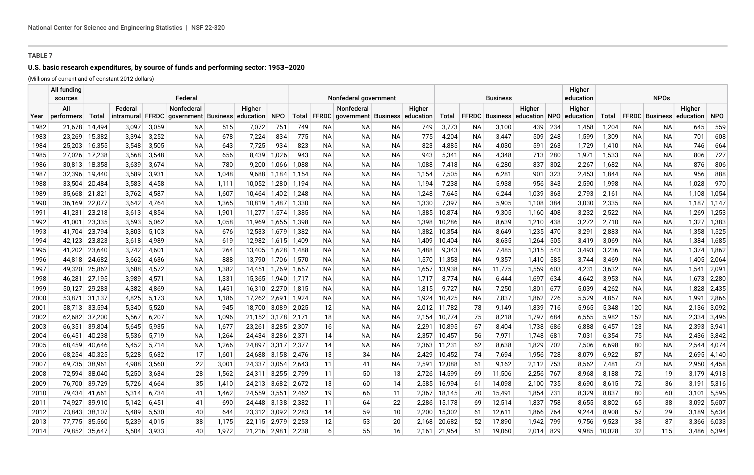# **U.S. basic research expenditures, by source of funds and performing sector: 1953–2020**

(Millions of current and of constant 2012 dollars)

|              | All fundina<br>sources |                  |                |                | Federal                   |                |                  |                 |                |          | Nonfederal government                     |          |                |                  |           | <b>Business</b>  |                              |             | Higher<br>education |                |          |                                 |                |                |
|--------------|------------------------|------------------|----------------|----------------|---------------------------|----------------|------------------|-----------------|----------------|----------|-------------------------------------------|----------|----------------|------------------|-----------|------------------|------------------------------|-------------|---------------------|----------------|----------|---------------------------------|----------------|----------------|
|              | All                    |                  | Federal        |                | Nonfederal                |                | Higher           |                 |                |          | <b>Nonfederal</b>                         |          | Higher         |                  |           |                  | Higher                       |             | Higher              |                |          |                                 | Higher         |                |
| Year         | performers             | Total            | intramural     |                | FFRDC government Business |                | education        | <b>NPO</b>      |                |          | Total FFRDC government Business education |          |                | Total            |           |                  | FFRDC Business education NPO |             | education           | Total          |          | <b>FFRDC</b> Business education |                | <b>NPO</b>     |
| 1982         | 21,678                 | 14,494           | 3,097          | 3,059          | NA.                       | 515            | 7,072            | 751             | 749            | NA.      | NA.                                       | NA.      | 749            | 3,773            | <b>NA</b> | 3,100            | 439                          | 234         | 1,458               | 1,204          | NA.      | <b>NA</b>                       | 645            | 559            |
| 1983         | 23,269                 | 15,382           | 3,394          | 3,252          | NA.                       | 678            | 7,224            | 834             | 775            | NA.      | NA.                                       | NA.      | 775            | 4,204            | NA.       | 3,447            | 509                          | 248         | 1,599               | 1,309          | NA.      | ΝA                              | 701            | 608            |
| 1984         | 25,203                 | 16,355           | 3,548          | 3,505          | NА                        | 643            | 7,725            | 934             | 823            | NА       | ΝA                                        | NА       | 823            | 4,885            | ΝA        | 4,030            | 591                          | 263         | 1,729               | 1,410          | NA.      | NА                              | 746            | 664            |
| 1985         | 27,026                 | 17,238           | 3,568          | 3,548          | NA.                       | 656            | 8,439            | 1.026           | 943            | NA.      | NA.                                       | ΝA       | 943            | 5,341            | NA.       | 4,348            | 713                          | 280         | 1,971               | 1,533          | NA.      | NA.                             | 806            | 727            |
| 1986         | 30,813                 | 18,358           | 3,639          | 3,674          | NA.                       | 780            |                  | $9,200$ 1,066   | 1,088          | NA.      | NA.                                       | NА       | 1,088          | 7,418            | NА        | 6,280            | 837                          | 302         | 2,267               | 1,682          | NA.      | NA.                             | 876            | 806            |
| 1987         | 32,396                 | 19,440           | 3.589          | 3,931          | <b>NA</b>                 | 1.048          |                  | $9.688$   1.184 | 1,154          | NA.      | NA.                                       | ΝA       | 1,154          | 7,505            | NA.       | 6,281            | 901                          | 323         | 2,453               | 1,844          | NA.      | ΝA                              | 956            | 888            |
| 1988         | 33,504                 | 20,484           | 3,583          | 4,458          | NA                        | 1,111          | 10,052 1,280     |                 | 1,194          | NA.      | NA.                                       | ΝA       | 1,194          | 7,238            | NА        | 5,938            | 956                          | -343        | 2,590               | 1,998          | NA.      | NА                              | 1,028          | 970            |
| 1989         | 35,668                 | 21,821           | 3,762          | 4,587          | NА                        | 1,607          | 10,464 1,402     |                 | 1,248          | NА       | ΝA                                        | NА       | 1,248          | 7,645            | ΝA        | 6,244            | 1,039                        | 363         | 2,793               | 2,161          | NA.      | ΝA                              | 1,108          | 1,054          |
| 1990         | 36,169                 | 22,077           | 3,642          | 4,764          | NA.                       | 1,365          | 10,819 1,487     |                 | 1,330          | NA.      | NA.                                       | ΝA       | 1,330          | 7,397            | ΝA        | 5,905            | 1,108                        | -384        | 3,030               | 2,335          | NA.      | NA                              | 1,187          | 1,147          |
| 1991         | 41,231                 | 23,218           | 3,613          | 4,854          | NА                        | 1,901          | 11,277 1,574     |                 | 1,385          | NА       | ΝA                                        | NА       | 1,385          | 10,874           | NА        | 9,305            | 1,160                        | 408         | 3,232               | 2,522          | NА       | ΝA                              | 1,269          | 1,253          |
| 1992         | 41,001                 | 23,335           | 3.593          | 5,062          | NA.                       | 1,058          | 11,969 1,655     |                 | 1,398          | NA.      | NA.                                       | ΝA       | 1,398          | 10,286           | NA.       | 8,639            | 1,210                        | 438         | 3,272               | 2,710          | NA.      | NA.                             | 1,327          | 1,383          |
| 1993         | 41,704                 | 23,794           | 3,803          | 5,103          | NA.                       | 676            | 12,533 1,679     |                 | 1,382          | NA.      | NA.                                       | NА       | 1,382          | 10,354           | ΝA        | 8,649            | 1,235                        | 470         | 3,291               | 2,883          | NA.      | NA                              | 1,358          | 1,525          |
| 1994         | 42,123                 | 23,823           | 3,618          | 4,989          | NA.                       | 619            | 12,982 1,615     |                 | 1,409          | NA.      | NA.                                       | ΝA       | 1,409          | 10,404           | NA.       | 8,635            | 1,264                        | 505         | 3,419               | 3,069          | NA.      | <b>NA</b>                       | 1,384          | 1,685          |
| 1995         | 41,202                 | 23,640           | 3,742          | 4,601          | NA.                       | 264            | 13,405 1,628     |                 | 1,488          | NA.      | NA.                                       | ΝA       | 1,488          | 9,343            | NA.       | 7,485            | 1,315                        | 543         | 3,493               | 3,236          | NA.      | NA                              | 1,374          | 1,862          |
| 1996         | 44,818                 | 24,682           | 3,662          | 4,636          | NА                        | 888            | 13,790 1,706     |                 | 1,570          | NA.      | ΝA                                        | NА       | 1,570          | 11,353           | NА        | 9,357            | 1,410                        | 585         | 3,744               | 3,469          | NA.      | ΝA                              | 1,405          | 2,064          |
| 1997         | 49,320                 | 25,862           | 3,688          | 4,572          | NA.                       | 1,382          | 14,451 1,769     |                 | 1,657          | NA.      | ΝA                                        | ΝA       | 1,657          | 13,938           | NA.       | 11,775           | 1,559                        | 603         | 4,231               | 3,632          | NA.      | NA.                             | 1,541          | 2,091          |
| 1998         | 46,281                 | 27,195           | 3,989          | 4,571          | NА                        | 1,331          | 15,365 1,940     |                 | 1,717          | NA.      | NA.                                       | NА       | 1,717          | 8,774            | NА        | 6,444            | 1,697                        | 634         | 4,642               | 3,953          | NA.      | NA                              | 1,673          | 2,280          |
| 1999         | 50,127                 | 29,283           | 4,382          | 4,869          | NA.                       | 1,451          | 16,310 2,270     |                 | 1,815          | NA.      | NA.                                       | ΝA       | 1,815          | 9,727            | ΝA        | 7,250            | 1,801                        | 677         | 5,039               | 4,262          | NA.      | NA.                             | 1,828          | 2,435          |
| 2000         | 53,871                 | 31,137           | 4,825          | 5,173          | NА                        | 1,186          | 17,262 2,691     |                 | 1,924          | NА       | NA.                                       | NА       | 1,924          | 10,425           | NА        | 7,837            | 1,862                        | 726         | 5,529               | 4,857          | NA.      | NA                              | 1,991          | 2,866          |
| 2001         | 58,713 33,594          |                  | 5,340          | 5,520          | NА                        | 945            | 18,700 3,089     |                 | 2,025          | 12       | ΝA                                        | NА       |                | 2,012 11,782     | 78        | 9,149            | 1,839                        | 716         | 5,965               | 5,348          | 120      | NА                              | 2,136          | 3,092          |
| 2002         | 62,682                 | 37,200           | 5,567          | 6,207          | NА                        | 1,096          | 21,152 3,178     |                 | 2,171          | 18       | NA.                                       | ΝA       | 2,154          | 10,774           | 75        | 8,218            | 1,797                        | 684         | 6,555               | 5,982          | 152      | NA.                             | 2,334          | 3,496          |
| 2003         | 66,351                 | 39,804           | 5,645          | 5,935          | NА                        | 1,677          | 23,261           | 3,285           | 2,307          | 16       | NA.                                       | NА       | 2,291          | 10,895           | 67        | 8,404            | 1,738                        | 686         | 6,888               | 6,457          | 123      | ΝA                              | 2,393          | 3,941          |
| 2004         | 66,451                 | 40,238           | 5,536          | 5,719          | NA                        | 1,264          | 24,434           | 3,286           | 2,371          | 14       | ΝA                                        | ΝA       | 2,357          | 10,457           | 56        | 7,971            | 1,748                        | 681         | 7,031               | 6,354          | 75       | NА                              | 2,436          | 3,842          |
| 2005         | 68,459                 | 40,646           | 5,452          | 5,714          | NА                        | 1,266          | 24,897           | 3,317           | 2,377          | 14       | ΝA                                        | ΝA       | 2,363          | 11,231           | 62        | 8,638            | 1,829                        | 702         | 7,506               | 6,698          | 80       | NA.                             | 2,544          | 4,074          |
| 2006         | 68,254                 | 40,325           | 5,228          | 5,632          | 17                        | 1,601          | 24,688 3,158     |                 | 2,476          | 13       | 34<br>41                                  | NА       | 2,429          | 10,452           | 74<br>61  | 7,694            | 1,956                        | 728         | 8,079               | 6,922          | 87       | ΝA                              |                | 2,695 4,140    |
| 2007         | 69,735<br>72,594       | 38,961           | 4,988<br>5,250 | 3,560          | 22                        | 3,001          | 24,337           | 3,054           | 2,643          | 11       |                                           | NА       | 2,591<br>2,726 | 12,088           |           | 9,162            | 2,112                        | 753         | 8,562               | 7,481          | 73<br>72 | NA                              | 2,950          | 4,458          |
| 2008<br>2009 | 76,700                 | 38,040<br>39,729 | 5,726          | 3,634<br>4,664 | 28                        | 1,562<br>1,410 | 24,311<br>24,213 | 3,255           | 2,799<br>2,672 | 11<br>13 | 50                                        | 13<br>14 | 2,585          | 14,599<br>16,994 | 69        | 11,506<br>14,098 | 2,256<br>2,100               | -767<br>735 | 8,968<br>8,690      | 8,188          | 72       | 19<br>36                        | 3,179<br>3,191 | 4,918<br>5,316 |
| 2010         | 79,434                 | 41,661           | 5,314          | 6,734          | 35<br>41                  | 1,462          | 24,559 3,551     | 3,682           | 2,462          | 19       | 60<br>66                                  | -11      | 2,367          | 18,145           | 61<br>70  | 15,491           | 1,854                        | 731         | 8,329               | 8,615<br>8,837 | 80       | 60                              | 3,101          | 5,595          |
| 2011         | 74,927                 | 39,910           | 5,142          | 6,451          | 41                        | 690            | 24,448           | 3,138           | 2,382          | 11       | 64                                        | 22       | 2,286          | 15,178           | 69        | 12,514           | 1,837                        | 758         | 8,655               | 8,802          | 65       | 38                              | 3,092          | 5,607          |
| 2012         | 73,843                 | 38,107           | 5,489          | 5,530          | 40                        | 644            | 23,312 3,092     |                 | 2,283          | 14       | 59                                        | 10       | 2,200          | 15,302           | 61        | 12,611           | 1,866                        | 764         | 9,244               | 8,908          | 57       | 29                              | 3,189          | 5,634          |
| 2013         | 77,775                 | 35,560           | 5,239          | 4,015          | 38                        | 1,175          | 22,115           | 2,979           | 2,253          | 12       | 53                                        | 20       | 2,168          | 20,682           | 52        | 17,890           | 1,942                        | 799         | 9,756               | 9,523          | 38       | 87                              | 3,366          | 6,033          |
| 2014         | 79,852                 | 35,647           | 5,504          | 3.933          | 40                        | 1,972          | 21,216 2,981     |                 | 2,238          | 6        | 55                                        | 16       | 2.161          | 21,954           | 51        | 19,060           | 2,014                        | 829         | 9.985               | 10,028         | 32       | 115                             |                | 3,486 6,394    |
|              |                        |                  |                |                |                           |                |                  |                 |                |          |                                           |          |                |                  |           |                  |                              |             |                     |                |          |                                 |                |                |